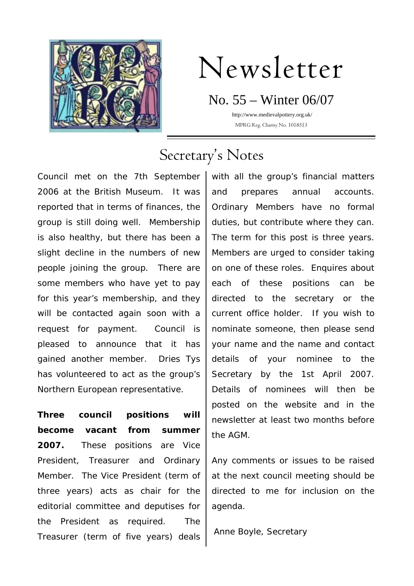

# Newsletter

No. 55 – Winter 06/07 http://www.medievalpottery.org.uk/

MPRG Reg. Charity No. 1018513

## Secretary's Notes

Council met on the 7th September 2006 at the British Museum. It was reported that in terms of finances, the group is still doing well. Membership is also healthy, but there has been a slight decline in the numbers of new people joining the group. There are some members who have yet to pay for this year's membership, and they will be contacted again soon with a request for payment. Council is pleased to announce that it has gained another member. Dries Tys has volunteered to act as the group's Northern European representative.

**Three council positions will become vacant from summer 2007.** These positions are Vice President, Treasurer and Ordinary Member. The Vice President (term of three years) acts as chair for the editorial committee and deputises for the President as required. The Treasurer (term of five years) deals

with all the group's financial matters and prepares annual accounts. Ordinary Members have no formal duties, but contribute where they can. The term for this post is three years. Members are urged to consider taking on one of these roles. Enquires about each of these positions can be directed to the secretary or the current office holder. If you wish to nominate someone, then please send your name and the name and contact details of your nominee to the Secretary by the 1st April 2007. Details of nominees will then be posted on the website and in the newsletter at least two months before the AGM.

Any comments or issues to be raised at the next council meeting should be directed to me for inclusion on the agenda.

Anne Boyle, Secretary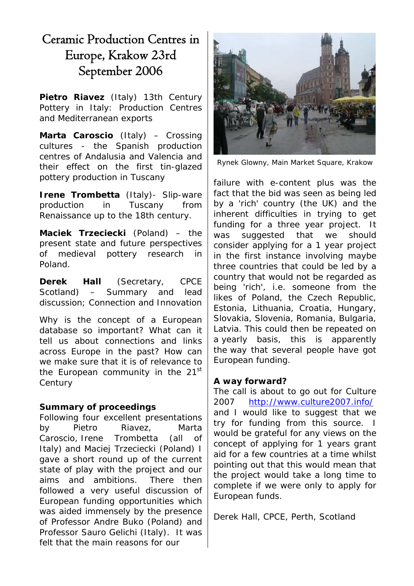## Ceramic Production Centres in Europe, Krakow 23rd September 2006

**Pietro Riavez** (Italy) 13th Century Pottery in Italy: Production Centres and Mediterranean exports

**Marta Caroscio** (Italy) – Crossing cultures - the Spanish production centres of Andalusia and Valencia and their effect on the first tin-glazed pottery production in Tuscany

**Irene Trombetta** (Italy) - Slip-ware production in Tuscany from Renaissance up to the 18th century.

**Maciek Trzeciecki** (Poland) – the present state and future perspectives of medieval pottery research in Poland.

**Derek Hall** (Secretary, CPCE Scotland) – Summary and lead discussion; Connection and Innovation

Why is the concept of a European database so important? What can it tell us about connections and links across Europe in the past? How can we make sure that it is of relevance to the European community in the 21<sup>st</sup> **Century** 

#### **Summary of proceedings**

Following four excellent presentations by Pietro Riavez, Marta Caroscio, Irene Trombetta (all of Italy) and Maciej Trzeciecki (Poland) I gave a short round up of the current state of play with the project and our aims and ambitions. There then followed a very useful discussion of European funding opportunities which was aided immensely by the presence of Professor Andre Buko (Poland) and Professor Sauro Gelichi (Italy). It was felt that the main reasons for our



Rynek Glowny, Main Market Square, Krakow

failure with e-content plus was the fact that the bid was seen as being led by a 'rich' country (the UK) and the inherent difficulties in trying to get funding for a three year project. It was suggested that we should consider applying for a 1 year project in the first instance involving maybe three countries that could be led by a country that would not be regarded as being 'rich', i.e. someone from the likes of Poland, the Czech Republic, Estonia, Lithuania, Croatia, Hungary, Slovakia, Slovenia, Romania, Bulgaria, Latvia. This could then be repeated on a yearly basis, this is apparently the way that several people have got European funding.

#### **A way forward?**

The call is about to go out for Culture 2007 <http://www.culture2007.info/> and I would like to suggest that we try for funding from this source. I would be grateful for any views on the concept of applying for 1 years grant aid for a few countries at a time whilst pointing out that this would mean that the project would take a long time to complete if we were only to apply for European funds.

Derek Hall, CPCE, Perth, Scotland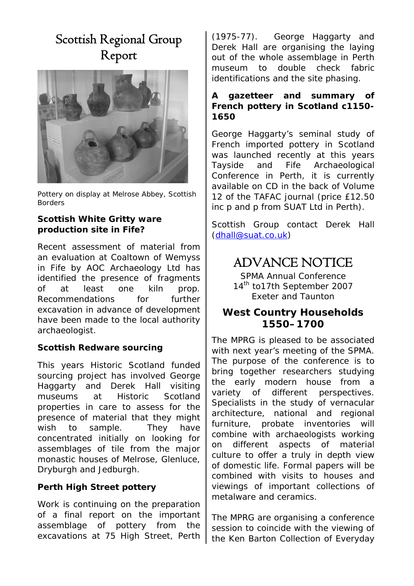## Scottish Regional Group Report



Pottery on display at Melrose Abbey, Scottish Borders

#### **Scottish White Gritty ware production site in Fife?**

Recent assessment of material from an evaluation at Coaltown of Wemyss in Fife by AOC Archaeology Ltd has identified the presence of fragments of at least one kiln prop. Recommendations for further excavation in advance of development have been made to the local authority archaeologist.

#### **Scottish Redware sourcing**

This years Historic Scotland funded sourcing project has involved George Haggarty and Derek Hall visiting museums at Historic Scotland properties in care to assess for the presence of material that they might wish to sample. They have concentrated initially on looking for assemblages of tile from the major monastic houses of Melrose, Glenluce, Dryburgh and Jedburgh.

#### **Perth High Street pottery**

Work is continuing on the preparation of a final report on the important assemblage of pottery from the excavations at 75 High Street, Perth

(1975-77). George Haggarty and Derek Hall are organising the laying out of the whole assemblage in Perth museum to double check fabric identifications and the site phasing.

#### **A gazetteer and summary of French pottery in Scotland c1150- 1650**

George Haggarty's seminal study of French imported pottery in Scotland was launched recently at this years Tayside and Fife Archaeological Conference in Perth, it is currently available on CD in the back of Volume 12 of the TAFAC journal (price £12.50 inc p and p from SUAT Ltd in Perth).

Scottish Group contact Derek Hall [\(dhall@suat.co.uk\)](mailto:dhall@suat.co.uk)

## ADVANCE NOTICE

SPMA Annual Conference 14<sup>th</sup> to17th September 2007 Exeter and Taunton

#### **West Country Households 1550–1700**

The MPRG is pleased to be associated with next year's meeting of the SPMA. The purpose of the conference is to bring together researchers studying the early modern house from a variety of different perspectives. Specialists in the study of vernacular architecture, national and regional furniture, probate inventories will combine with archaeologists working on different aspects of material culture to offer a truly in depth view of domestic life. Formal papers will be combined with visits to houses and viewings of important collections of metalware and ceramics.

The MPRG are organising a conference session to coincide with the viewing of the Ken Barton Collection of Everyday